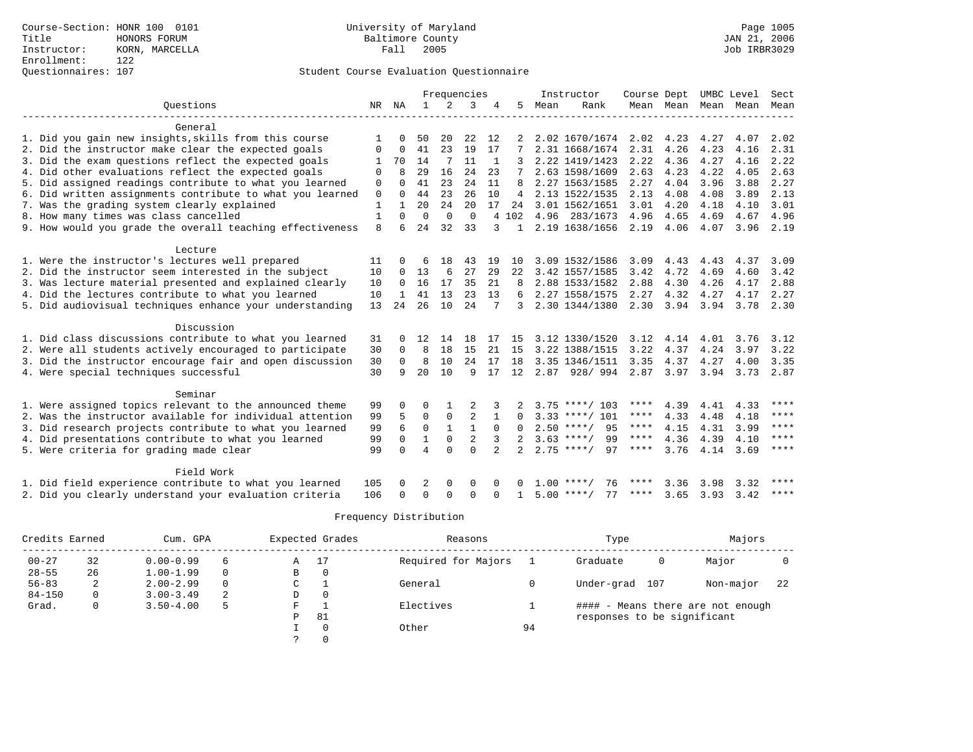# Questionnaires: 107 Student Course Evaluation Questionnaire

|                                                           | Frequencies  |              |                | Instructor<br>Course Dept |                |                |                | UMBC Level | Sect               |             |                     |      |      |             |
|-----------------------------------------------------------|--------------|--------------|----------------|---------------------------|----------------|----------------|----------------|------------|--------------------|-------------|---------------------|------|------|-------------|
| Ouestions                                                 | NR           | ΝA           | $\mathbf{1}$   | 2                         | 3              |                | 5              | Mean       | Rank               |             | Mean Mean Mean Mean |      |      | Mean        |
| General                                                   |              |              |                |                           |                |                |                |            |                    |             |                     |      |      |             |
| 1. Did you gain new insights, skills from this course     |              |              | 50             | 20                        | 22             | 12             |                |            | 2.02 1670/1674     | 2.02        | 4.23                | 4.27 | 4.07 | 2.02        |
| 2. Did the instructor make clear the expected goals       | 0            | $\Omega$     | 41             | 23                        | 19             | 17             |                |            | 2.31 1668/1674     | 2.31        | 4.26                | 4.23 | 4.16 | 2.31        |
| 3. Did the exam questions reflect the expected goals      | 1            | 70           | 14             | 7                         | 11             | -1             |                |            | 2.22 1419/1423     | 2.22        | 4.36                | 4.27 | 4.16 | 2.22        |
| 4. Did other evaluations reflect the expected goals       | $\Omega$     | R            | 29             | 16                        | 2.4            | 23             |                |            | 2.63 1598/1609     | 2.63        | 4.23                | 4.22 | 4.05 | 2.63        |
| 5. Did assigned readings contribute to what you learned   | $\Omega$     | $\Omega$     | 41             | 23                        | 2.4            | 11             | R              |            | 2.27 1563/1585     | 2.27        | 4.04                | 3.96 | 3.88 | 2.27        |
| 6. Did written assignments contribute to what you learned | $\mathbf 0$  | $\Omega$     | 44             | 23                        | 26             | 10             | 4              |            | 2.13 1522/1535     | 2.13        | 4.08                | 4.08 | 3.89 | 2.13        |
| 7. Was the grading system clearly explained               | $\mathbf{1}$ | $\mathbf{1}$ | 20             | 24                        | 20             | 17             | 24             |            | 3.01 1562/1651     | 3.01        | 4.20                | 4.18 | 4.10 | 3.01        |
| 8. How many times was class cancelled                     | $\mathbf{1}$ | $\Omega$     | $\Omega$       | $\Omega$                  | $\Omega$       |                | 4 102          | 4.96       | 283/1673           | 4.96        | 4.65                | 4.69 | 4.67 | 4.96        |
| 9. How would you grade the overall teaching effectiveness | 8            | 6            | 24             | 32                        | 33             | 3              | $\mathbf{1}$   |            | 2.19 1638/1656     | 2.19        | 4.06                | 4.07 | 3.96 | 2.19        |
| Lecture                                                   |              |              |                |                           |                |                |                |            |                    |             |                     |      |      |             |
| 1. Were the instructor's lectures well prepared           | 11           |              |                | 18                        | 43             | 19             | 10             |            | 3.09 1532/1586     | 3.09        | 4.43                | 4.43 | 4.37 | 3.09        |
| 2. Did the instructor seem interested in the subject      | 10           | 0            | 13             | 6                         | 27             | 29             | 22             |            | 3.42 1557/1585     | 3.42        | 4.72                | 4.69 | 4.60 | 3.42        |
| 3. Was lecture material presented and explained clearly   | 10           | 0            | 16             | 17                        | 35             | 21             | 8              |            | 2.88 1533/1582     | 2.88        | 4.30                | 4.26 | 4.17 | 2.88        |
| 4. Did the lectures contribute to what you learned        | 10           | 1            | 41             | 13                        | 23             | 13             | 6              |            | 2.27 1558/1575     | 2.27        | 4.32                | 4.27 | 4.17 | 2.27        |
| 5. Did audiovisual techniques enhance your understanding  | 13           | 24           | 26             | 10                        | 24             |                | 3              |            | 2.30 1344/1380     | 2.30        | 3.94                | 3.94 | 3.78 | 2.30        |
| Discussion                                                |              |              |                |                           |                |                |                |            |                    |             |                     |      |      |             |
| 1. Did class discussions contribute to what you learned   | 31           | 0            | 12             | 14                        | 18             | 17             | 15             |            | 3.12 1330/1520     | 3.12        | 4.14                | 4.01 | 3.76 | 3.12        |
| 2. Were all students actively encouraged to participate   | 30           | 0            | 8              | 18                        | 15             | 21             | 15             |            | 3.22 1388/1515     | 3.22        | 4.37                | 4.24 | 3.97 | 3.22        |
| 3. Did the instructor encourage fair and open discussion  | 30           | $\Omega$     | 8              | 10                        | 24             | 17             | 18             |            | 3.35 1346/1511     | 3.35        | 4.37                | 4.27 | 4.00 | 3.35        |
| 4. Were special techniques successful                     | 30           | 9            | 20             | 10                        | 9              | 17             | 12             |            | 2.87 928/994       | 2.87        | 3.97                | 3.94 | 3.73 | 2.87        |
| Seminar                                                   |              |              |                |                           |                |                |                |            |                    |             |                     |      |      |             |
| 1. Were assigned topics relevant to the announced theme   | 99           | 0            | O              |                           | $\mathfrak{D}$ |                |                |            | $3.75$ ****/ 103   | ****        | 4.39                | 4.41 | 4.33 | ****        |
| 2. Was the instructor available for individual attention  | 99           | 5            | $\Omega$       | $\mathbf 0$               | $\overline{2}$ | 1              | <sup>0</sup>   |            | $3.33$ ****/ 101   | ****        | 4.33                | 4.48 | 4.18 | ****        |
| 3. Did research projects contribute to what you learned   | 99           | 6            | $\Omega$       | $\mathbf{1}$              | $\mathbf{1}$   | $\Omega$       | <sup>0</sup>   |            | $2.50$ ****/<br>95 | $***$ * *   | 4.15                | 4.31 | 3.99 | ****        |
| 4. Did presentations contribute to what you learned       | 99           | 0            | $\mathbf{1}$   | $\Omega$                  | $\overline{2}$ | 3              | $\overline{2}$ |            | $3.63$ ****/<br>99 | $***$ * * * | 4.36                | 4.39 | 4.10 | $***$ * * * |
| 5. Were criteria for grading made clear                   | 99           | <sup>0</sup> | $\overline{4}$ | $\Omega$                  | $\Omega$       | $\mathfrak{D}$ | $\mathfrak{D}$ |            | $2.75$ ****/<br>97 | ****        | 3.76                | 4.14 | 3.69 | ****        |
| Field Work                                                |              |              |                |                           |                |                |                |            |                    |             |                     |      |      |             |
| 1. Did field experience contribute to what you learned    | 105          |              | 2              | $\Omega$                  | $\Omega$       |                |                | 1 0 O      | 76                 | ****        | 3.36                | 3.98 | 3.32 | ****        |
| 2. Did you clearly understand your evaluation criteria    | 106          | $\Omega$     | $\Omega$       | $\cap$                    | $\cap$         | ∩              | 1              |            | 77<br>$5.00$ ****/ | ****        | 3.65                | 3.93 | 3.42 | $***$ * * * |

|            | Credits Earned<br>Cum. GPA |               |          |    | Expected Grades | Reasons             |    | Type                        |     | Majors                            |     |
|------------|----------------------------|---------------|----------|----|-----------------|---------------------|----|-----------------------------|-----|-----------------------------------|-----|
| $00 - 27$  | 32                         | $0.00 - 0.99$ | 6        | Α  | 17              | Required for Majors |    | Graduate                    | 0   | Major                             |     |
| $28 - 55$  | 26                         | $1.00 - 1.99$ |          | B  | 0               |                     |    |                             |     |                                   |     |
| $56 - 83$  | 2                          | $2.00 - 2.99$ | $\Omega$ | C. |                 | General             |    | Under-grad                  | 107 | Non-major                         | -22 |
| $84 - 150$ | 0                          | $3.00 - 3.49$ | 2        | D  | 0               |                     |    |                             |     |                                   |     |
| Grad.      | 0                          | $3.50 - 4.00$ | 5        | F  |                 | Electives           |    |                             |     | #### - Means there are not enough |     |
|            |                            |               |          | Ρ  | 81              |                     |    | responses to be significant |     |                                   |     |
|            |                            |               |          |    | $\Omega$        | Other               | 94 |                             |     |                                   |     |
|            |                            |               |          |    | $\Omega$        |                     |    |                             |     |                                   |     |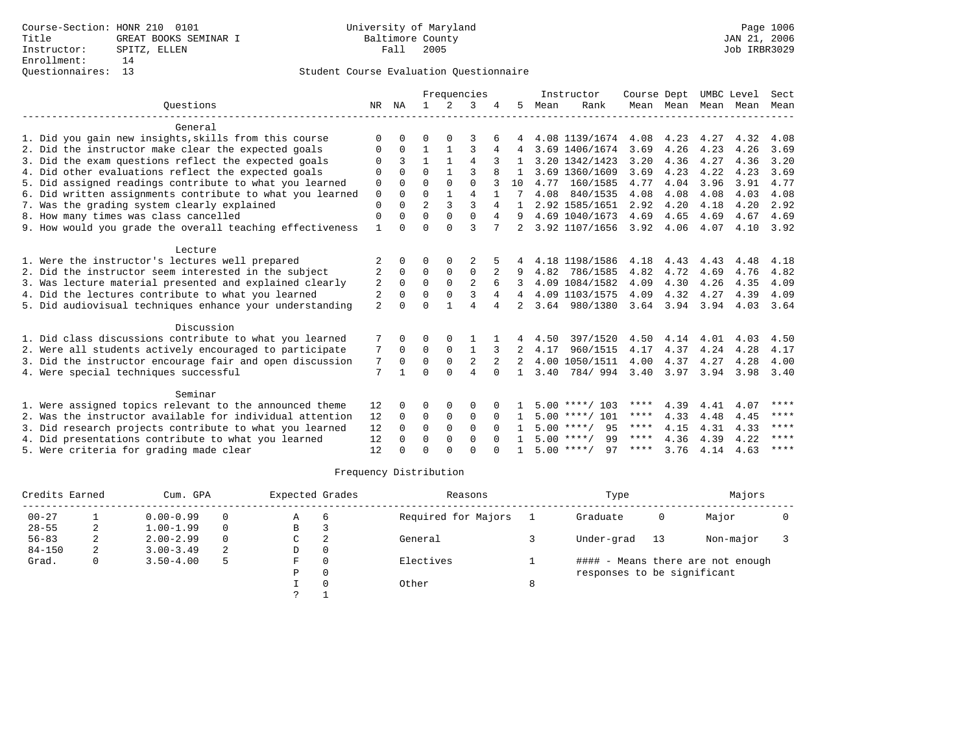|                |                     |              |                                        |                         |                                      |              |      |          |                                                                                                                                                                                                                                                                                                              |                                                  |                                                         |                                                | Sect                                       |
|----------------|---------------------|--------------|----------------------------------------|-------------------------|--------------------------------------|--------------|------|----------|--------------------------------------------------------------------------------------------------------------------------------------------------------------------------------------------------------------------------------------------------------------------------------------------------------------|--------------------------------------------------|---------------------------------------------------------|------------------------------------------------|--------------------------------------------|
| NR             | ΝA                  |              | 2                                      | 3                       |                                      | 5            | Mean | Rank     |                                                                                                                                                                                                                                                                                                              |                                                  |                                                         |                                                | Mean                                       |
|                |                     |              |                                        |                         |                                      |              |      |          |                                                                                                                                                                                                                                                                                                              |                                                  |                                                         |                                                |                                            |
| ∩              |                     |              |                                        |                         |                                      |              |      |          | 4.08                                                                                                                                                                                                                                                                                                         | 4.23                                             | 4.27                                                    | 4.32                                           | 4.08                                       |
| 0              | $\Omega$            |              |                                        | 3                       | 4                                    | 4            |      |          | 3.69                                                                                                                                                                                                                                                                                                         | 4.26                                             | 4.23                                                    | 4.26                                           | 3.69                                       |
| $\Omega$       | 3                   | $\mathbf{1}$ |                                        | 4                       |                                      |              |      |          | 3.20                                                                                                                                                                                                                                                                                                         | 4.36                                             | 4.27                                                    | 4.36                                           | 3.20                                       |
| $\Omega$       |                     | $\cap$       |                                        |                         |                                      |              |      |          | 3.69                                                                                                                                                                                                                                                                                                         | 4.23                                             | 4.22                                                    | 4.23                                           | 3.69                                       |
| 0              | $\cap$              | $\Omega$     | $\Omega$                               | $\Omega$                |                                      | 10           | 4.77 |          | 4.77                                                                                                                                                                                                                                                                                                         | 4.04                                             |                                                         | 3.91                                           | 4.77                                       |
| $\mathbf 0$    | $\Omega$            | $\Omega$     |                                        |                         |                                      |              | 4.08 | 840/1535 | 4.08                                                                                                                                                                                                                                                                                                         | 4.08                                             | 4.08                                                    | 4.03                                           | 4.08                                       |
|                | $\cap$              |              |                                        |                         | 4                                    |              |      |          |                                                                                                                                                                                                                                                                                                              |                                                  |                                                         |                                                | 2.92                                       |
| $\Omega$       |                     |              |                                        |                         | 4                                    |              |      |          |                                                                                                                                                                                                                                                                                                              |                                                  |                                                         |                                                | 4.69                                       |
|                |                     |              |                                        |                         |                                      |              |      |          |                                                                                                                                                                                                                                                                                                              |                                                  |                                                         |                                                | 3.92                                       |
|                |                     |              |                                        |                         |                                      |              |      |          |                                                                                                                                                                                                                                                                                                              |                                                  |                                                         |                                                |                                            |
| 2              |                     | O            |                                        |                         |                                      |              |      |          | 4.18                                                                                                                                                                                                                                                                                                         | 4.43                                             | 4.43                                                    | 4.48                                           | 4.18                                       |
| 2              | $\Omega$            | $\Omega$     | $\Omega$                               | $\Omega$                |                                      | 9            | 4.82 | 786/1585 | 4.82                                                                                                                                                                                                                                                                                                         | 4.72                                             | 4.69                                                    | 4.76                                           | 4.82                                       |
| 2              | $\Omega$            | $\mathbf 0$  | $\mathbf 0$                            | $\overline{2}$          | 6                                    | 3            |      |          | 4.09                                                                                                                                                                                                                                                                                                         | 4.30                                             | 4.26                                                    | 4.35                                           | 4.09                                       |
| 2              | $\Omega$            | $\Omega$     | $\Omega$                               | 3                       | 4                                    |              |      |          | 4.09                                                                                                                                                                                                                                                                                                         | 4.32                                             | 4.27                                                    | 4.39                                           | 4.09                                       |
| $\overline{a}$ | $\Omega$            | $\Omega$     |                                        | $\overline{A}$          |                                      |              |      |          |                                                                                                                                                                                                                                                                                                              |                                                  | 3.94                                                    | 4.03                                           | 3.64                                       |
|                |                     |              |                                        |                         |                                      |              |      |          |                                                                                                                                                                                                                                                                                                              |                                                  |                                                         |                                                |                                            |
|                |                     | ∩            | $\Omega$                               |                         |                                      | 4            | 4.50 | 397/1520 | 4.50                                                                                                                                                                                                                                                                                                         | 4.14                                             | 4.01                                                    | 4.03                                           | 4.50                                       |
| 7              | $\mathbf 0$         | $\mathbf 0$  | 0                                      |                         |                                      |              | 4.17 | 960/1515 | 4.17                                                                                                                                                                                                                                                                                                         | 4.37                                             | 4.24                                                    | 4.28                                           | 4.17                                       |
| 7              | $\Omega$            | $\Omega$     | $\Omega$                               | $\overline{2}$          | 2                                    | 2            |      |          | 4.00                                                                                                                                                                                                                                                                                                         | 4.37                                             | 4.27                                                    | 4.28                                           | 4.00                                       |
| 7              |                     | $\Omega$     | $\cap$                                 | $\overline{4}$          | $\Omega$                             | $\mathbf{1}$ | 3.40 |          | 3.40                                                                                                                                                                                                                                                                                                         | 3.97                                             | 3.94                                                    | 3.98                                           | 3.40                                       |
|                |                     |              |                                        |                         |                                      |              |      |          |                                                                                                                                                                                                                                                                                                              |                                                  |                                                         |                                                |                                            |
|                |                     | ∩            |                                        | $\Omega$                |                                      |              |      |          | ****                                                                                                                                                                                                                                                                                                         | 4.39                                             | 4.41                                                    | 4.07                                           | ****                                       |
| 12             | $\Omega$            | $\Omega$     | $\Omega$                               | $\Omega$                | $\Omega$                             | $\mathbf{1}$ |      |          | ****                                                                                                                                                                                                                                                                                                         | 4.33                                             | 4.48                                                    | 4.45                                           | ****                                       |
| 12             | $\Omega$            | $\Omega$     | $\Omega$                               | $\Omega$                |                                      |              |      | 95       | ****                                                                                                                                                                                                                                                                                                         | 4.15                                             | 4.31                                                    | 4.33                                           | ****                                       |
| 12             | $\Omega$            | $\Omega$     | $\Omega$                               | $\Omega$                |                                      |              |      | 99       | ****                                                                                                                                                                                                                                                                                                         | 4.36                                             | 4.39                                                    | 4.22                                           | ****                                       |
| 12             |                     | $\Omega$     |                                        | $\cap$                  |                                      |              |      | 97       | ****                                                                                                                                                                                                                                                                                                         | 3.76                                             | 4.14                                                    | 4.63                                           | ****                                       |
|                | $\Omega$<br>1<br>12 | $\cap$       | $\overline{a}$<br>$\Omega$<br>$\Omega$ | 3<br>$\Omega$<br>$\cap$ | $\overline{4}$<br>ζ<br>$\Omega$<br>3 | Frequencies  |      |          | Instructor<br>3.69 1406/1674<br>3.20 1342/1423<br>3.69 1360/1609<br>160/1585<br>2.92 1585/1651<br>4.69 1040/1673<br>4.18 1198/1586<br>4.09 1084/1582<br>4.09 1103/1575<br>3.64 980/1380<br>4.00 1050/1511<br>784/994<br>$5.00$ ****/ 103<br>$5.00$ ****/ 101<br>$5.00$ ****/<br>$5.00$ ****/<br>$5.00$ ****/ | 4.08 1139/1674<br>2.92<br>4.69<br>3.92 1107/1656 | Course Dept<br>4.20<br>4.65<br>$3.92$ 4.06<br>3.64 3.94 | Mean Mean Mean<br>3.96<br>4.18<br>4.69<br>4.07 | UMBC Level<br>Mean<br>4.20<br>4.67<br>4.10 |

|            | Credits Earned<br>Cum. GPA |               |          | Expected Grades |     | Reasons             |   | Type                        |    | Majors                            |  |
|------------|----------------------------|---------------|----------|-----------------|-----|---------------------|---|-----------------------------|----|-----------------------------------|--|
| $00 - 27$  |                            | $0.00 - 0.99$ | $\Omega$ | Α               | - 6 | Required for Majors |   | Graduate                    | 0  | Major                             |  |
| $28 - 55$  | ∠                          | $1.00 - 1.99$ | $\Omega$ | B               |     |                     |   |                             |    |                                   |  |
| $56 - 83$  | ∠                          | $2.00 - 2.99$ | $\Omega$ | C               | 2   | General             |   | Under-grad                  | 13 | Non-major                         |  |
| $84 - 150$ | 2                          | $3.00 - 3.49$ | 2        | D               |     |                     |   |                             |    |                                   |  |
| Grad.      | 0                          | $3.50 - 4.00$ | 5        | F               |     | Electives           |   |                             |    | #### - Means there are not enough |  |
|            |                            |               |          | P               |     |                     |   | responses to be significant |    |                                   |  |
|            |                            |               |          |                 |     | Other               | 8 |                             |    |                                   |  |
|            |                            |               |          |                 |     |                     |   |                             |    |                                   |  |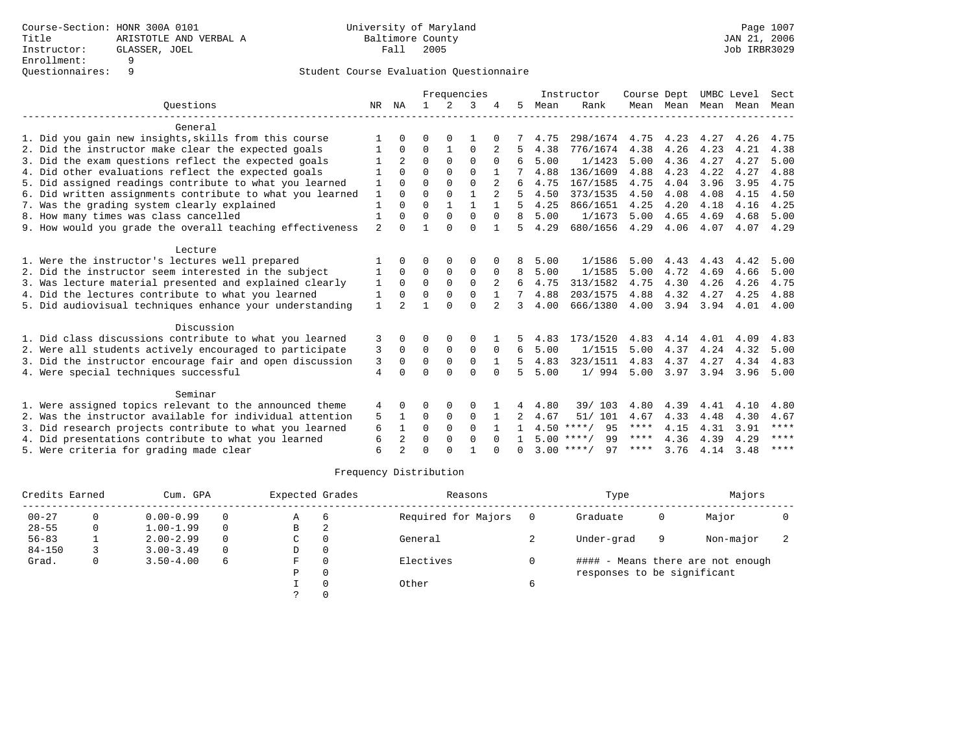|                |                                                                                                                                        |              |             |          |                |             |      |          |                                                                      |                                   |                     |                           | Sect                               |
|----------------|----------------------------------------------------------------------------------------------------------------------------------------|--------------|-------------|----------|----------------|-------------|------|----------|----------------------------------------------------------------------|-----------------------------------|---------------------|---------------------------|------------------------------------|
|                | NA                                                                                                                                     | $\mathbf{1}$ | 2           | 3        |                | 5           | Mean | Rank     |                                                                      |                                   | Mean                |                           | Mean                               |
|                |                                                                                                                                        |              |             |          |                |             |      |          |                                                                      |                                   |                     |                           |                                    |
|                |                                                                                                                                        | O            |             |          |                |             | 4.75 |          | 4.75                                                                 | 4.23                              | 4.27                | 4.26                      | 4.75                               |
|                | $\Omega$                                                                                                                               | 0            |             | $\Omega$ |                |             | 4.38 | 776/1674 | 4.38                                                                 | 4.26                              | 4.23                | 4.21                      | 4.38                               |
|                | $\overline{a}$                                                                                                                         | $\Omega$     | $\Omega$    | $\Omega$ |                | 6           | 5.00 | 1/1423   | 5.00                                                                 | 4.36                              | 4.27                | 4.27                      | 5.00                               |
|                | $\cap$                                                                                                                                 | $\Omega$     | $\Omega$    | $\cap$   |                |             | 4.88 | 136/1609 | 4.88                                                                 | 4.23                              | 4.22                | 4.27                      | 4.88                               |
|                | $\Omega$                                                                                                                               | $\Omega$     | $\Omega$    | $\Omega$ | 2              | 6           | 4.75 | 167/1585 | 4.75                                                                 | 4.04                              | 3.96                | 3.95                      | 4.75                               |
| 1              | $\cap$                                                                                                                                 | $\Omega$     | $\Omega$    | 1        | $\overline{2}$ | 5           | 4.50 | 373/1535 | 4.50                                                                 | 4.08                              | 4.08                | 4.15                      | 4.50                               |
|                |                                                                                                                                        | $\Omega$     |             |          |                | 5           | 4.25 | 866/1651 | 4.25                                                                 | 4.20                              | 4.18                | 4.16                      | 4.25                               |
|                | $\Omega$                                                                                                                               | $\Omega$     | $\Omega$    | $\Omega$ | $\Omega$       | 8           | 5.00 | 1/1673   | 5.00                                                                 | 4.65                              | 4.69                | 4.68                      | 5.00                               |
| $\overline{2}$ | $\Omega$                                                                                                                               |              | $\cap$      | $\Omega$ |                | 5           | 4.29 | 680/1656 |                                                                      | 4.06                              | 4.07                | 4.07                      | 4.29                               |
|                |                                                                                                                                        |              |             |          |                |             |      |          |                                                                      |                                   |                     |                           |                                    |
|                |                                                                                                                                        |              |             |          |                |             | 5.00 | 1/1586   | 5.00                                                                 | 4.43                              | 4.43                | 4.42                      | 5.00                               |
|                | $\Omega$                                                                                                                               | $\Omega$     | $\mathbf 0$ | 0        |                | 8           | 5.00 | 1/1585   | 5.00                                                                 | 4.72                              | 4.69                | 4.66                      | 5.00                               |
| 1              | $\Omega$                                                                                                                               | $\Omega$     | $\Omega$    | $\Omega$ | 2              | 6           | 4.75 | 313/1582 | 4.75                                                                 | 4.30                              | 4.26                | 4.26                      | 4.75                               |
| 1              | $\Omega$                                                                                                                               | $\Omega$     | $\Omega$    | $\Omega$ |                |             | 4.88 | 203/1575 | 4.88                                                                 | 4.32                              | 4.27                | 4.25                      | 4.88                               |
| $\mathbf{1}$   | $\mathfrak{D}$                                                                                                                         |              | $\cap$      | $\Omega$ | 2              | २           | 4.00 | 666/1380 | 4.00                                                                 | 3.94                              | 3.94                | 4.01                      | 4.00                               |
|                |                                                                                                                                        |              |             |          |                |             |      |          |                                                                      |                                   |                     |                           |                                    |
| 3              |                                                                                                                                        | ∩            |             | $\Omega$ |                |             | 4.83 | 173/1520 | 4.83                                                                 | 4.14                              | 4.01                | 4.09                      | 4.83                               |
| 3              | $\Omega$                                                                                                                               | $\Omega$     | $\Omega$    | 0        | $\Omega$       | 6           | 5.00 | 1/1515   | 5.00                                                                 | 4.37                              | 4.24                | 4.32                      | 5.00                               |
| 3              | $\Omega$                                                                                                                               | $\Omega$     | $\Omega$    | $\Omega$ |                | 5.          | 4.83 | 323/1511 | 4.83                                                                 | 4.37                              | 4.27                | 4.34                      | 4.83                               |
| 4              | $\Omega$                                                                                                                               | $\Omega$     | $\Omega$    | $\Omega$ | $\Omega$       | 5           | 5.00 |          | 5.00                                                                 | 3.97                              | 3.94                | 3.96                      | 5.00                               |
|                |                                                                                                                                        |              |             |          |                |             |      |          |                                                                      |                                   |                     |                           |                                    |
|                |                                                                                                                                        |              | $\Omega$    | $\Omega$ |                |             | 4.80 |          |                                                                      |                                   |                     |                           | 4.80                               |
| 5              |                                                                                                                                        | 0            | 0           | 0        |                |             | 4.67 | 51/ 101  | 4.67                                                                 | 4.33                              | 4.48                | 4.30                      | 4.67                               |
| 6              |                                                                                                                                        | $\Omega$     | $\Omega$    | $\Omega$ |                |             |      | 95       | ****                                                                 | 4.15                              |                     |                           | ****                               |
|                |                                                                                                                                        | $\Omega$     | $\Omega$    | $\Omega$ |                |             |      | 99       | ****                                                                 | 4.36                              | 4.39                | 4.29                      | ****                               |
|                | $\mathfrak{D}$                                                                                                                         | $\Omega$     |             |          |                | $\cap$      |      | 97       | ****                                                                 | 3.76                              | 4.14                | 3.48                      | $***$ * * *                        |
|                | NR<br>6. Did written assignments contribute to what you learned<br>9. How would you grade the overall teaching effectiveness<br>4<br>6 | 2            |             |          |                | Frequencies |      |          | Instructor<br>39/103<br>$4.50$ ****/<br>$5.00$ ****/<br>$3.00$ ****/ | 298/1674<br>4.29<br>1/994<br>4.80 | Course Dept<br>4.39 | Mean Mean<br>4.41<br>4.31 | UMBC Level<br>Mean<br>4.10<br>3.91 |

|            | Credits Earned<br>Cum. GPA |                                |          | Expected Grades |     | Reasons             |   | Type                        | Majors |                                   |  |
|------------|----------------------------|--------------------------------|----------|-----------------|-----|---------------------|---|-----------------------------|--------|-----------------------------------|--|
| $00 - 27$  |                            | $0.00 - 0.99$<br>$\Omega$<br>Α |          |                 | - 6 | Required for Majors |   | Graduate                    | 0      | Major                             |  |
| $28 - 55$  | 0                          | $1.00 - 1.99$                  | $\Omega$ | В               | 2   |                     |   |                             |        |                                   |  |
| $56 - 83$  |                            | $2.00 - 2.99$                  | $\Omega$ | C               |     | General             |   | Under-grad                  | 9      | Non-major                         |  |
| $84 - 150$ |                            | $3.00 - 3.49$                  | $\Omega$ | D               |     |                     |   |                             |        |                                   |  |
| Grad.      | 0                          | $3.50 - 4.00$                  | 6        | F               |     | Electives           |   |                             |        | #### - Means there are not enough |  |
|            |                            |                                |          | P               |     |                     |   | responses to be significant |        |                                   |  |
|            |                            |                                |          |                 |     | Other               | 6 |                             |        |                                   |  |
|            |                            |                                |          |                 |     |                     |   |                             |        |                                   |  |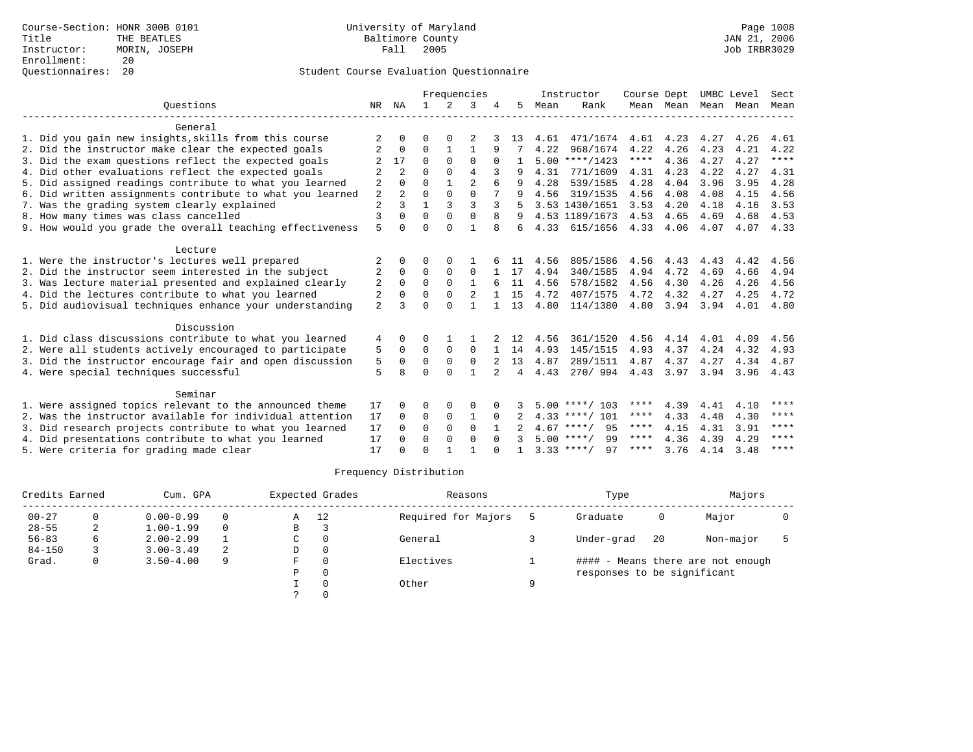|                                                           |                |                |              |               | Frequencies    |              |    |      | Instructor         | Course Dept |           | UMBC Level |      | Sect        |
|-----------------------------------------------------------|----------------|----------------|--------------|---------------|----------------|--------------|----|------|--------------------|-------------|-----------|------------|------|-------------|
| Ouestions                                                 | NR             | ΝA             | $\mathbf{1}$ | $\mathcal{L}$ | 3              |              | 5. | Mean | Rank               |             | Mean Mean | Mean       | Mean | Mean        |
| General                                                   |                |                |              |               |                |              |    |      |                    |             |           |            |      |             |
| 1. Did you gain new insights, skills from this course     |                | O              | O            | $\Omega$      |                |              | 13 | 4.61 | 471/1674           | 4.61        | 4.23      | 4.27       | 4.26 | 4.61        |
| 2. Did the instructor make clear the expected goals       | $\overline{2}$ | $\Omega$       | $\Omega$     | $\mathbf{1}$  | $\mathbf{1}$   | 9            |    | 4.22 | 968/1674           | 4.22        | 4.26      | 4.23       | 4.21 | 4.22        |
| 3. Did the exam questions reflect the expected goals      |                | 17             | $\Omega$     | $\Omega$      | $\Omega$       | $\Omega$     |    |      | $5.00$ ****/1423   | $***$ * * * | 4.36      | 4.27       | 4.27 | $***$       |
| 4. Did other evaluations reflect the expected goals       | $\overline{2}$ | 2              | $\Omega$     | $\Omega$      | $\overline{4}$ |              |    | 4.31 | 771/1609           | 4.31        | 4.23      | 4.22       | 4.27 | 4.31        |
| 5. Did assigned readings contribute to what you learned   | 2              | $\Omega$       | $\Omega$     | $\mathbf{1}$  | $\overline{2}$ | 6            | 9  | 4.28 | 539/1585           | 4.28        | 4.04      | 3.96       | 3.95 | 4.28        |
| 6. Did written assignments contribute to what you learned | $\overline{2}$ | $\overline{a}$ | $\Omega$     | $\Omega$      | $\Omega$       |              | q  | 4.56 | 319/1535           | 4.56        | 4.08      | 4.08       | 4.15 | 4.56        |
| 7. Was the grading system clearly explained               | $\overline{c}$ | 3              | 1            | 3             | $\mathbf{3}$   | 3            |    |      | 3.53 1430/1651     | 3.53        | 4.20      | 4.18       | 4.16 | 3.53        |
| 8. How many times was class cancelled                     | $\overline{3}$ | $\Omega$       | $\Omega$     | $\Omega$      | $\Omega$       | 8            | 9  |      | 4.53 1189/1673     | 4.53        | 4.65      | 4.69       | 4.68 | 4.53        |
| 9. How would you grade the overall teaching effectiveness | 5              | $\Omega$       | $\Omega$     | $\Omega$      | $\mathbf{1}$   | 8            | 6  | 4.33 | 615/1656           | 4.33        | 4.06      | 4.07       | 4.07 | 4.33        |
| Lecture                                                   |                |                |              |               |                |              |    |      |                    |             |           |            |      |             |
| 1. Were the instructor's lectures well prepared           | 2              | 0              | O            | $\Omega$      |                |              |    | 4.56 | 805/1586           | 4.56        | 4.43      | 4.43       | 4.42 | 4.56        |
| 2. Did the instructor seem interested in the subject      | 2              | $\Omega$       | 0            | $\Omega$      | $\Omega$       |              | 17 | 4.94 | 340/1585           | 4.94        | 4.72      | 4.69       | 4.66 | 4.94        |
| 3. Was lecture material presented and explained clearly   | 2              | $\Omega$       | $\Omega$     | $\Omega$      | $\mathbf{1}$   |              | 11 | 4.56 | 578/1582           | 4.56        | 4.30      | 4.26       | 4.26 | 4.56        |
| 4. Did the lectures contribute to what you learned        | 2              | $\Omega$       | $\Omega$     | $\Omega$      | $\overline{2}$ |              | 15 | 4.72 | 407/1575           | 4.72        | 4.32      | 4.27       | 4.25 | 4.72        |
| 5. Did audiovisual techniques enhance your understanding  | $\overline{a}$ | ς              | $\cap$       | ∩             |                |              | 13 | 4.80 | 114/1380           | 4.80        | 3.94      | 3.94       | 4.01 | 4.80        |
| Discussion                                                |                |                |              |               |                |              |    |      |                    |             |           |            |      |             |
| 1. Did class discussions contribute to what you learned   | 4              | <sup>0</sup>   | O            |               |                |              | 12 | 4.56 | 361/1520           | 4.56        | 4.14      | 4.01       | 4.09 | 4.56        |
| 2. Were all students actively encouraged to participate   | 5              | $\Omega$       | $\Omega$     | $\Omega$      | $\Omega$       |              | 14 | 4.93 | 145/1515           | 4.93        | 4.37      | 4.24       | 4.32 | 4.93        |
| 3. Did the instructor encourage fair and open discussion  | 5              | $\Omega$       | $\Omega$     | $\Omega$      | $\Omega$       | $2^{1}$      | 13 | 4.87 | 289/1511           | 4.87        | 4.37      | 4.27       | 4.34 | 4.87        |
| 4. Were special techniques successful                     | 5              | R              | $\Omega$     | $\Omega$      | 1              |              | 4  | 4.43 | 270/994            | 4.43        | 3.97      | 3.94       | 3.96 | 4.43        |
| Seminar                                                   |                |                |              |               |                |              |    |      |                    |             |           |            |      |             |
| 1. Were assigned topics relevant to the announced theme   | 17             | 0              | O            | $\Omega$      | $\Omega$       |              |    |      | $5.00$ ****/ 103   | ****        | 4.39      | 4.41       | 4.10 | ****        |
| 2. Was the instructor available for individual attention  | 17             | $\Omega$       | 0            | $\mathbf 0$   | 1              | $\Omega$     |    |      | $4.33$ ****/ 101   | ****        | 4.33      | 4.48       | 4.30 | $***$ * * * |
| 3. Did research projects contribute to what you learned   | 17             | $\Omega$       | $\Omega$     | $\Omega$      | $\Omega$       |              |    |      | 95<br>$4.67$ ****/ | ****        | 4.15      | 4.31       | 3.91 | ****        |
| 4. Did presentations contribute to what you learned       | 17             | 0              | $\Omega$     | $\Omega$      | $\Omega$       |              |    |      | $5.00$ ****/<br>99 | ****        | 4.36      | 4.39       | 4.29 | ****        |
| 5. Were criteria for grading made clear                   | 17             | U              | $\cap$       |               |                | <sup>n</sup> |    |      | $3.33***/$<br>97   | ****        | 3.76      | 4.14       | 3.48 | $***$ * * * |

|            | Credits Earned<br>Cum. GPA |               |          |   | Expected Grades | Reasons             |   | Type                        |    | Majors                            |  |
|------------|----------------------------|---------------|----------|---|-----------------|---------------------|---|-----------------------------|----|-----------------------------------|--|
| $00 - 27$  |                            | $0.00 - 0.99$ | $\Omega$ | Α | 12              | Required for Majors |   | Graduate                    | 0  | Major                             |  |
| $28 - 55$  | ∠                          | $1.00 - 1.99$ | $\Omega$ | B |                 |                     |   |                             |    |                                   |  |
| $56 - 83$  | 6                          | $2.00 - 2.99$ |          | C |                 | General             |   | Under-grad                  | 20 | Non-major                         |  |
| $84 - 150$ |                            | $3.00 - 3.49$ | 2        | D |                 |                     |   |                             |    |                                   |  |
| Grad.      | O                          | $3.50 - 4.00$ | 9        | F |                 | Electives           |   |                             |    | #### - Means there are not enough |  |
|            |                            |               |          | P |                 |                     |   | responses to be significant |    |                                   |  |
|            |                            |               |          |   |                 | Other               | Q |                             |    |                                   |  |
|            |                            |               |          |   |                 |                     |   |                             |    |                                   |  |